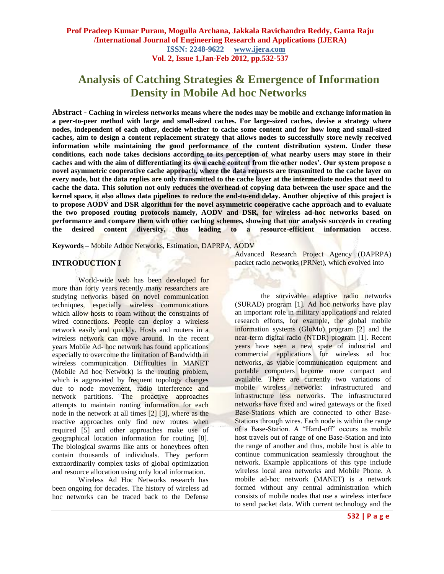# **Analysis of Catching Strategies & Emergence of Information Density in Mobile Ad hoc Networks**

**Abstract - Caching in wireless networks means where the nodes may be mobile and exchange information in a peer-to-peer method with large and small-sized caches. For large-sized caches, devise a strategy where nodes, independent of each other, decide whether to cache some content and for how long and small-sized caches, aim to design a content replacement strategy that allows nodes to successfully store newly received information while maintaining the good performance of the content distribution system. Under these conditions, each node takes decisions according to its perception of what nearby users may store in their caches and with the aim of differentiating its own cache content from the other nodes'. Our system propose a novel asymmetric cooperative cache approach, where the data requests are transmitted to the cache layer on every node, but the data replies are only transmitted to the cache layer at the intermediate nodes that need to cache the data. This solution not only reduces the overhead of copying data between the user space and the kernel space, it also allows data pipelines to reduce the end-to-end delay. Another objective of this project is to propose AODV and DSR algorithm for the novel asymmetric cooperative cache approach and to evaluate the two proposed routing protocols namely, AODV and DSR, for wireless ad-hoc networks based on performance and compare them with other caching schemes, showing that our analysis succeeds in creating the desired content diversity, thus leading to a resource-efficient information access**.

**Keywords –** Mobile Adhoc Networks, Estimation, DAPRPA, AODV

# **INTRODUCTION I**

World-wide web has been developed for more than forty years recently many researchers are studying networks based on novel communication techniques, especially wireless communications which allow hosts to roam without the constraints of wired connections. People can deploy a wireless network easily and quickly. Hosts and routers in a wireless network can move around. In the recent years Mobile Ad- hoc network has found applications especially to overcome the limitation of Bandwidth in wireless communication. Difficulties in MANET (Mobile Ad hoc Network) is the routing problem, which is aggravated by frequent topology changes due to node movement, radio interference and network partitions. The proactive approaches attempts to maintain routing information for each node in the network at all times [2] [3], where as the reactive approaches only find new routes when required [5] and other approaches make use of geographical location information for routing [8]. The biological swarms like ants or honeybees often contain thousands of individuals. They perform extraordinarily complex tasks of global optimization and resource allocation using only local information.

Wireless Ad Hoc Networks research has been ongoing for decades. The history of wireless ad hoc networks can be traced back to the Defense

Advanced Research Project Agency (DAPRPA) packet radio networks (PRNet), which evolved into

the survivable adaptive radio networks (SURAD) program [1]. Ad hoc networks have play an important role in military applications and related research efforts, for example, the global mobile information systems (GloMo) program [2] and the near-term digital radio (NTDR) program [1]. Recent years have seen a new spate of industrial and commercial applications for wireless ad hoc networks, as viable communication equipment and portable computers become more compact and available. There are currently two variations of mobile wireless networks: infrastructured and infrastructure less networks. The infrastructured networks have fixed and wired gateways or the fixed Base-Stations which are connected to other Base-Stations through wires. Each node is within the range of a Base-Station. A "Hand-off" occurs as mobile host travels out of range of one Base-Station and into the range of another and thus, mobile host is able to continue communication seamlessly throughout the network. Example applications of this type include wireless local area networks and Mobile Phone. A mobile ad-hoc network (MANET) is a network formed without any central administration which consists of mobile nodes that use a wireless interface to send packet data. With current technology and the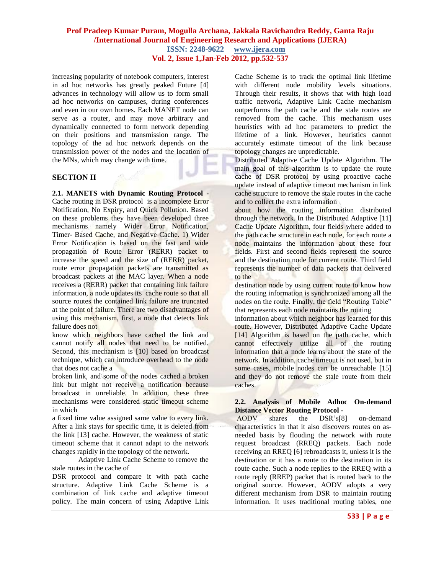**Vol. 2, Issue 1,Jan-Feb 2012, pp.532-537**

increasing popularity of notebook computers, interest in ad hoc networks has greatly peaked Future [4] advances in technology will allow us to form small ad hoc networks on campuses, during conferences and even in our own homes. Each MANET node can serve as a router, and may move arbitrary and dynamically connected to form network depending on their positions and transmission range. The topology of the ad hoc network depends on the transmission power of the nodes and the location of the MNs, which may change with time.

# **SECTION II**

**2.1. MANETS with Dynamic Routing Protocol -** Cache routing in DSR protocol is a incomplete Error Notification, No Expiry, and Quick Pollution. Based on these problems they have been developed three mechanisms namely Wider Error Notification, Timer- Based Cache, and Negative Cache. 1) Wider Error Notification is based on the fast and wide propagation of Route Error (RERR) packet to increase the speed and the size of (RERR) packet, route error propagation packets are transmitted as broadcast packets at the MAC layer. When a node receives a (RERR) packet that containing link failure information, a node updates its cache route so that all source routes the contained link failure are truncated at the point of failure. There are two disadvantages of using this mechanism, first, a node that detects link failure does not

know which neighbors have cached the link and cannot notify all nodes that need to be notified. Second, this mechanism is [10] based on broadcast technique, which can introduce overhead to the node that does not cache a

broken link, and some of the nodes cached a broken link but might not receive a notification because broadcast in unreliable. In addition, these three mechanisms were considered static timeout scheme in which

a fixed time value assigned same value to every link. After a link stays for specific time, it is deleted from the link [13] cache. However, the weakness of static timeout scheme that it cannot adapt to the network changes rapidly in the topology of the network.

Adaptive Link Cache Scheme to remove the stale routes in the cache of

DSR protocol and compare it with path cache structure. Adaptive Link Cache Scheme is a combination of link cache and adaptive timeout policy. The main concern of using Adaptive Link

Cache Scheme is to track the optimal link lifetime with different node mobility levels situations. Through their results, it shows that with high load traffic network, Adaptive Link Cache mechanism outperforms the path cache and the stale routes are removed from the cache. This mechanism uses heuristics with ad hoc parameters to predict the lifetime of a link. However, heuristics cannot accurately estimate timeout of the link because topology changes are unpredictable.

Distributed Adaptive Cache Update Algorithm. The main goal of this algorithm is to update the route cache of DSR protocol by using proactive cache update instead of adaptive timeout mechanism in link cache structure to remove the stale routes in the cache and to collect the extra information

about how the routing information distributed through the network. In the Distributed Adaptive [11] Cache Update Algorithm, four fields where added to the path cache structure in each node, for each route a node maintains the information about these four fields. First and second fields represent the source and the destination node for current route. Third field represents the number of data packets that delivered to the

destination node by using current route to know how the routing information is synchronized among all the nodes on the route. Finally, the field "Routing Table" that represents each node maintains the routing

information about which neighbor has learned for this route. However, Distributed Adaptive Cache Update [14] Algorithm is based on the path cache, which cannot effectively utilize all of the routing information that a node learns about the state of the network. In addition, cache timeout is not used, but in some cases, mobile nodes can be unreachable [15] and they do not remove the stale route from their caches.

#### **2.2. Analysis of Mobile Adhoc On-demand Distance Vector Routing Protocol -**

AODV shares the DSR's[8] on-demand characteristics in that it also discovers routes on asneeded basis by flooding the network with route request broadcast (RREQ) packets. Each node receiving an RREQ [6] rebroadcasts it, unless it is the destination or it has a route to the destination in its route cache. Such a node replies to the RREQ with a route reply (RREP) packet that is routed back to the original source. However, AODV adopts a very different mechanism from DSR to maintain routing information. It uses traditional routing tables, one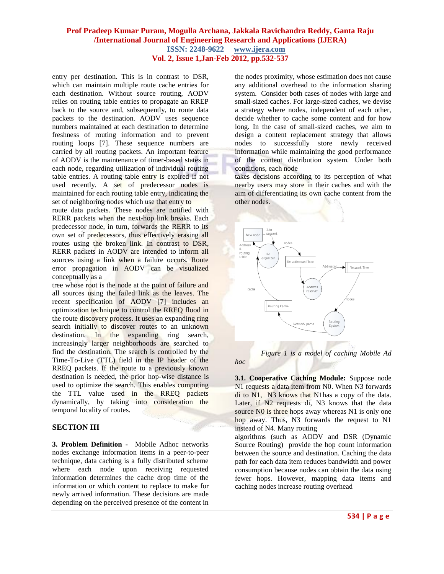**Vol. 2, Issue 1,Jan-Feb 2012, pp.532-537**

*hoc* 

entry per destination. This is in contrast to DSR, which can maintain multiple route cache entries for each destination. Without source routing, AODV relies on routing table entries to propagate an RREP back to the source and, subsequently, to route data packets to the destination. AODV uses sequence numbers maintained at each destination to determine freshness of routing information and to prevent routing loops [7]. These sequence numbers are carried by all routing packets. An important feature of AODV is the maintenance of timer-based states in each node, regarding utilization of individual routing table entries. A routing table entry is expired if not used recently. A set of predecessor nodes is maintained for each routing table entry, indicating the set of neighboring nodes which use that entry to

route data packets. These nodes are notified with RERR packets when the next-hop link breaks. Each predecessor node, in turn, forwards the RERR to its own set of predecessors, thus effectively erasing all routes using the broken link. In contrast to DSR, RERR packets in AODV are intended to inform all sources using a link when a failure occurs. Route error propagation in AODV can be visualized conceptually as a

tree whose root is the node at the point of failure and all sources using the failed link as the leaves. The recent specification of AODV [7] includes an optimization technique to control the RREQ flood in the route discovery process. It uses an expanding ring search initially to discover routes to an unknown destination. In the expanding ring search, increasingly larger neighborhoods are searched to find the destination. The search is controlled by the Time-To-Live (TTL) field in the IP header of the RREQ packets. If the route to a previously known destination is needed, the prior hop-wise distance is used to optimize the search. This enables computing the TTL value used in the RREQ packets dynamically, by taking into consideration the temporal locality of routes.

# **SECTION III**

**3. Problem Definition -** Mobile Adhoc networks nodes exchange information items in a peer-to-peer technique, data caching is a fully distributed scheme where each node upon receiving requested information determines the cache drop time of the information or which content to replace to make for newly arrived information. These decisions are made depending on the perceived presence of the content in

the nodes proximity, whose estimation does not cause any additional overhead to the information sharing system. Consider both cases of nodes with large and small-sized caches. For large-sized caches, we devise a strategy where nodes, independent of each other, decide whether to cache some content and for how long. In the case of small-sized caches, we aim to design a content replacement strategy that allows nodes to successfully store newly received information while maintaining the good performance of the content distribution system. Under both conditions, each node

takes decisions according to its perception of what nearby users may store in their caches and with the aim of differentiating its own cache content from the other nodes.



*Figure 1 is a model of caching Mobile Ad* 

**3.1. Cooperative Caching Module:** Suppose node N1 requests a data item from N0. When N3 forwards di to N1, N3 knows that N1has a copy of the data. Later, if N2 requests di, N3 knows that the data source N<sub>0</sub> is three hops away whereas N<sub>1</sub> is only one hop away. Thus, N3 forwards the request to N1 instead of N4. Many routing

algorithms (such as AODV and DSR (Dynamic Source Routing) provide the hop count information between the source and destination. Caching the data path for each data item reduces bandwidth and power consumption because nodes can obtain the data using fewer hops. However, mapping data items and caching nodes increase routing overhead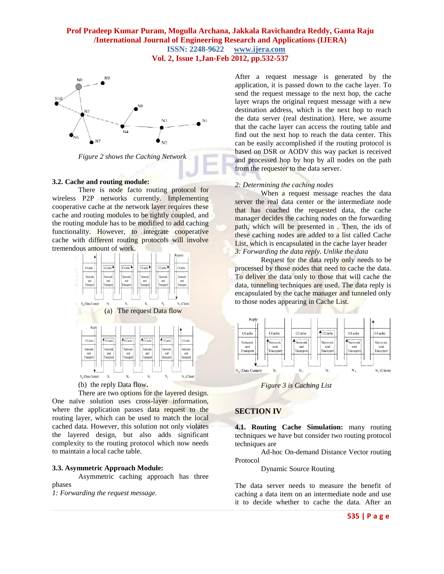



*Figure 2 shows the Caching Network*

#### **3.2. Cache and routing module:**

There is node facto routing protocol for wireless P2P networks currently. Implementing cooperative cache at the network layer requires these cache and routing modules to be tightly coupled, and the routing module has to be modified to add caching functionality. However, to integrate cooperative cache with different routing protocols will involve tremendous amount of work.





There are two options for the layered design. One naïve solution uses cross-layer information, where the application passes data request to the routing layer, which can be used to match the local cached data. However, this solution not only violates the layered design, but also adds significant complexity to the routing protocol which now needs to maintain a local cache table.

#### **3.3. Asymmetric Approach Module:**

Asymmetric caching approach has three phases

*1: Forwarding the request message.*

After a request message is generated by the application, it is passed down to the cache layer. To send the request message to the next hop, the cache layer wraps the original request message with a new destination address, which is the next hop to reach the data server (real destination). Here, we assume that the cache layer can access the routing table and find out the next hop to reach the data center. This can be easily accomplished if the routing protocol is based on DSR or AODV this way packet is received and processed hop by hop by all nodes on the path from the requester to the data server.

#### *2: Determining the caching nodes*

When a request message reaches the data server the real data center or the intermediate node that has coached the requested data, the cache manager decides the caching nodes on the forwarding path, which will be presented in . Then, the ids of these caching nodes are added to a list called Cache List, which is encapsulated in the cache layer header *3: Forwarding the data reply. Unlike the data*

Request for the data reply only needs to be processed by those nodes that need to cache the data. To deliver the data only to those that will cache the data, tunneling techniques are used. The data reply is encapsulated by the cache manager and tunneled only to those nodes appearing in Cache List.



*Figure 3 is Caching List* 

#### **SECTION IV**

**4.1. Routing Cache Simulation:** many routing techniques we have but consider two routing protocol techniques are

Ad-hoc On-demand Distance Vector routing Protocol

Dynamic Source Routing

The data server needs to measure the benefit of caching a data item on an intermediate node and use it to decide whether to cache the data. After an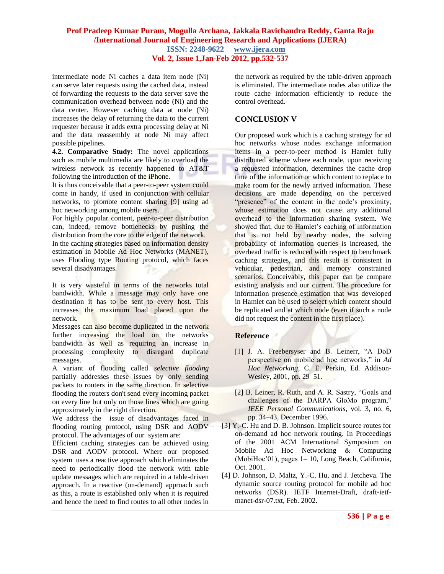**Vol. 2, Issue 1,Jan-Feb 2012, pp.532-537**

intermediate node Ni caches a data item node (Ni) can serve later requests using the cached data, instead of forwarding the requests to the data server save the communication overhead between node (Ni) and the data center. However caching data at node (Ni) increases the delay of returning the data to the current requester because it adds extra processing delay at Ni and the data reassembly at node Ni may affect possible pipelines.

**4.2. Comparative Study:** The novel applications such as mobile multimedia are likely to overload the wireless network as recently happened to AT&T following the introduction of the iPhone.

It is thus conceivable that a peer-to-peer system could come in handy, if used in conjunction with cellular networks, to promote content sharing [9] using ad hoc networking among mobile users.

For highly popular content, peer-to-peer distribution can, indeed, remove bottlenecks by pushing the distribution from the core to the edge of the network. In the caching strategies based on information density estimation in Mobile Ad Hoc Networks (MANET), uses Flooding type Routing protocol, which faces several disadvantages.

It is very wasteful in terms of the networks total bandwidth. While a message may only have one destination it has to be sent to every host. This increases the maximum load placed upon the network.

Messages can also become duplicated in the network further increasing the load on the networks bandwidth as well as requiring an increase in processing complexity to disregard duplicate messages.

A variant of flooding called *selective flooding* partially addresses these issues by only sending packets to routers in the same direction. In selective flooding the routers don't send every incoming packet on every line but only on those lines which are going approximately in the right direction.

We address the issue of disadvantages faced in flooding routing protocol, using DSR and AODV protocol. The advantages of our system are:

Efficient caching strategies can be achieved using DSR and AODV protocol. Where our proposed system uses a reactive approach which eliminates the need to periodically flood the network with table update messages which are required in a table-driven approach. In a reactive (on-demand) approach such as this, a route is established only when it is required and hence the need to find routes to all other nodes in the network as required by the table-driven approach is eliminated. The intermediate nodes also utilize the route cache information efficiently to reduce the control overhead.

# **CONCLUSION V**

Our proposed work which is a caching strategy for ad hoc networks whose nodes exchange information items in a peer-to-peer method is Hamlet fully distributed scheme where each node, upon receiving a requested information, determines the cache drop time of the information or which content to replace to make room for the newly arrived information. These decisions are made depending on the perceived "presence" of the content in the node's proximity, whose estimation does not cause any additional overhead to the information sharing system. We showed that, due to Hamlet's caching of information that is not held by nearby nodes, the solving probability of information queries is increased, the overhead traffic is reduced with respect to benchmark caching strategies, and this result is consistent in vehicular, pedestrian, and memory constrained scenarios. Conceivably, this paper can be compare existing analysis and our current. The procedure for information presence estimation that was developed in Hamlet can be used to select which content should be replicated and at which node (even if such a node did not request the content in the first place).

### **Reference**

- [1] J. A. Freebersyser and B. Leinerr, "A DoD perspective on mobile ad hoc networks," in *Ad Hoc Networking*, C. E. Perkin, Ed. Addison-Wesley, 2001, pp. 29–51.
- [2] B. Leiner, R. Ruth, and A. R. Sastry, "Goals and challenges of the DARPA GloMo program," *IEEE Personal Communications*, vol. 3, no. 6, pp. 34–43, December 1996.
- [3] Y.-C. Hu and D. B. Johnson. Implicit source routes for on-demand ad hoc network routing. In Proceedings of the 2001 ACM International Symposium on Mobile Ad Hoc Networking & Computing (MobiHoc'01), pages 1– 10, Long Beach, California, Oct. 2001.
- [4] D. Johnson, D. Maltz, Y.-C. Hu, and J. Jetcheva. The dynamic source routing protocol for mobile ad hoc networks (DSR). IETF Internet-Draft, draft-ietfmanet-dsr-07.txt, Feb. 2002.